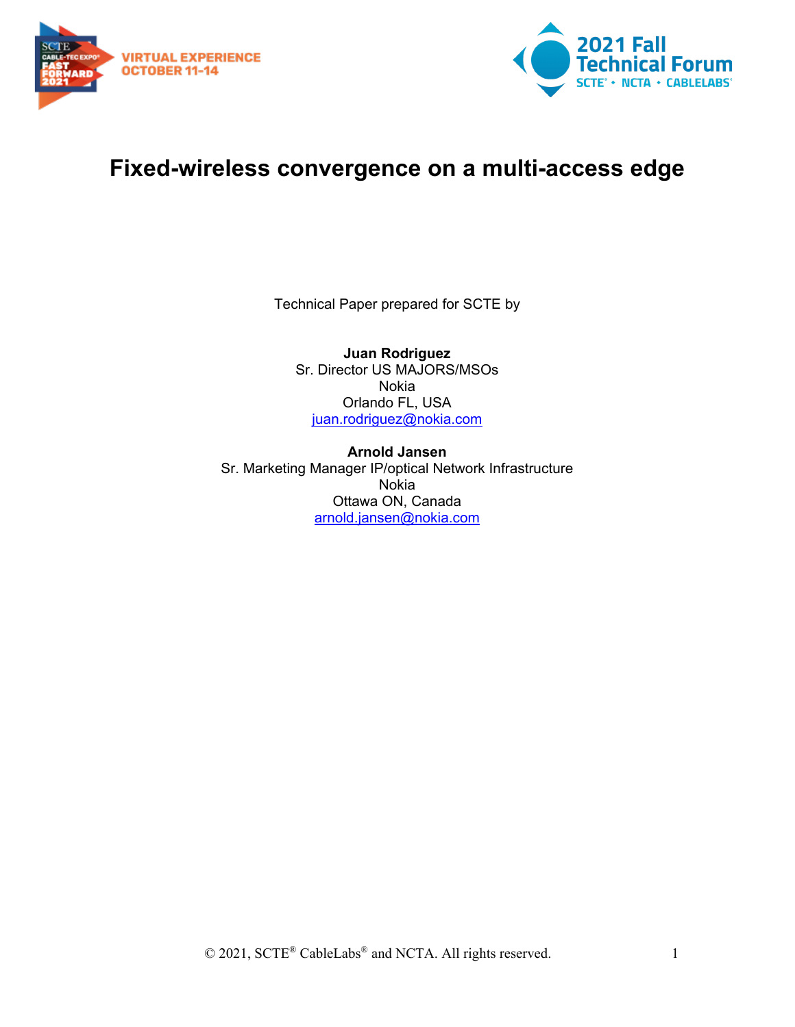



## **Fixed-wireless convergence on a multi-access edge**

Technical Paper prepared for SCTE by

**Juan Rodriguez** Sr. Director US MAJORS/MSOs Nokia Orlando FL, USA [juan.rodriguez@nokia.com](mailto:juan.rodriguez@nokia.com)

**Arnold Jansen** Sr. Marketing Manager IP/optical Network Infrastructure Nokia Ottawa ON, Canada [arnold.jansen@nokia.com](mailto:arnold.jansen@nokia.com)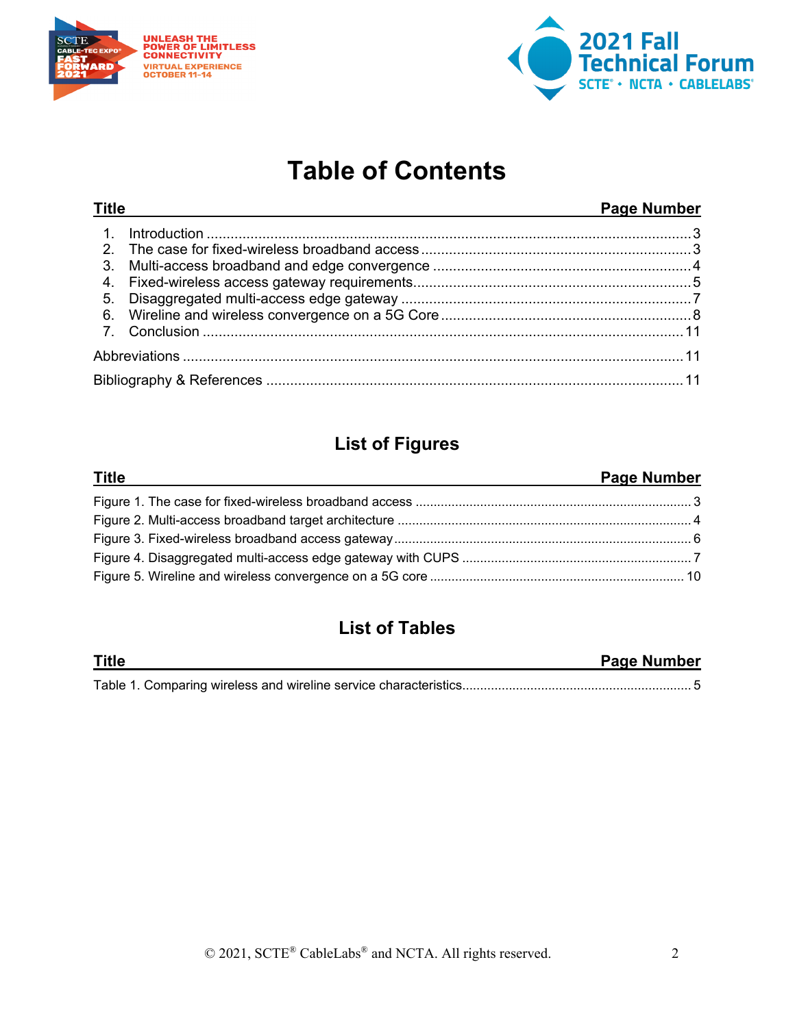



# **Table of Contents**

| <b>Title</b>     |  | <b>Page Number</b> |
|------------------|--|--------------------|
| $\overline{1}$ . |  |                    |
|                  |  |                    |
| 3.               |  |                    |
|                  |  |                    |
| 5.               |  |                    |
|                  |  |                    |
|                  |  |                    |
|                  |  |                    |
|                  |  |                    |

## **List of Figures**

| <b>Title</b> | <b>Page Number</b> |
|--------------|--------------------|
|              |                    |
|              |                    |
|              |                    |
|              |                    |
|              |                    |

## **List of Tables**

| <b>Title</b> | <b>Page Number</b> |
|--------------|--------------------|
|              |                    |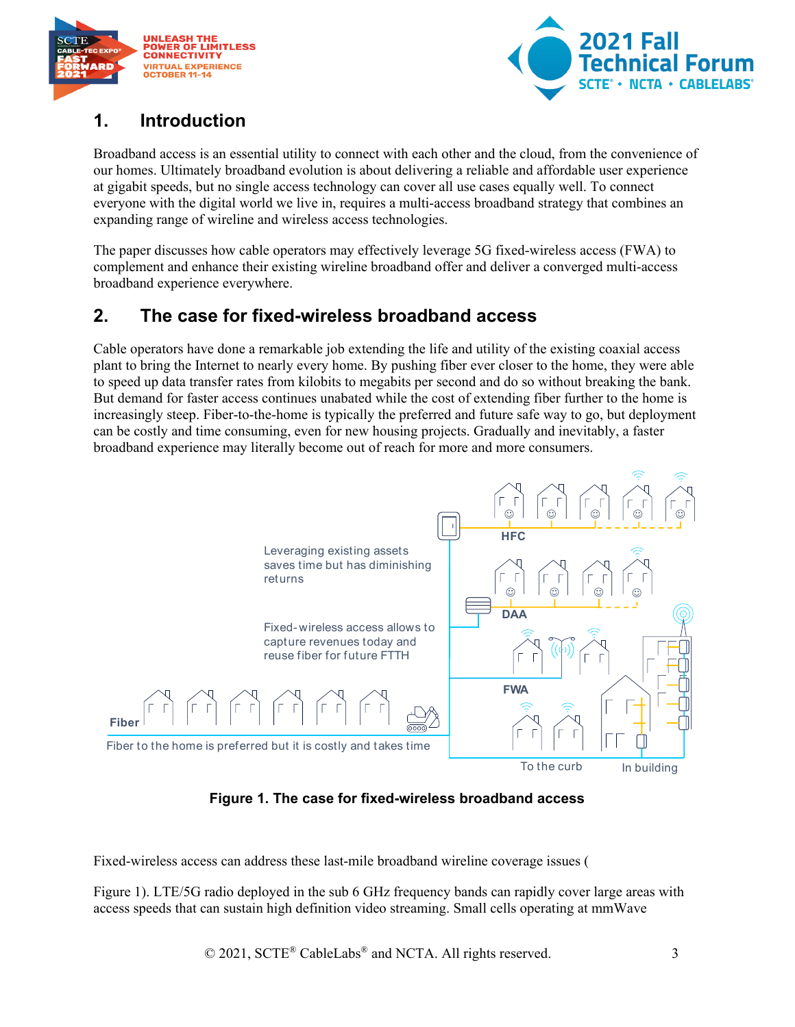

<span id="page-2-3"></span>

### <span id="page-2-0"></span>**1. Introduction**

Broadband access is an essential utility to connect with each other and the cloud, from the convenience of our homes. Ultimately broadband evolution is about delivering a reliable and affordable user experience at gigabit speeds, but no single access technology can cover all use cases equally well. To connect everyone with the digital world we live in, requires a multi-access broadband strategy that combines an expanding range of wireline and wireless access technologies.

The paper discusses how cable operators may effectively leverage 5G fixed-wireless access (FWA) to complement and enhance their existing wireline broadband offer and deliver a converged multi-access broadband experience everywhere.

## <span id="page-2-1"></span>**2. The case for fixed-wireless broadband access**

Cable operators have done a remarkable job extending the life and utility of the existing coaxial access plant to bring the Internet to nearly every home. By pushing fiber ever closer to the home, they were able to speed up data transfer rates from kilobits to megabits per second and do so without breaking the bank. But demand for faster access continues unabated while the cost of extending fiber further to the home is increasingly steep. Fiber-to-the-home is typically the preferred and future safe way to go, but deployment can be costly and time consuming, even for new housing projects. Gradually and inevitably, a faster broadband experience may literally become out of reach for more and more consumers.



**Figure 1. The case for fixed-wireless broadband access** 

<span id="page-2-2"></span>Fixed-wireless access can address these last-mile broadband wireline coverage issues [\(](#page-2-3)

[Figure 1\)](#page-2-3). LTE/5G radio deployed in the sub 6 GHz frequency bands can rapidly cover large areas with access speeds that can sustain high definition video streaming. Small cells operating at mmWave

© 2021, SCTE<sup>®</sup> CableLabs<sup>®</sup> and NCTA. All rights reserved. 3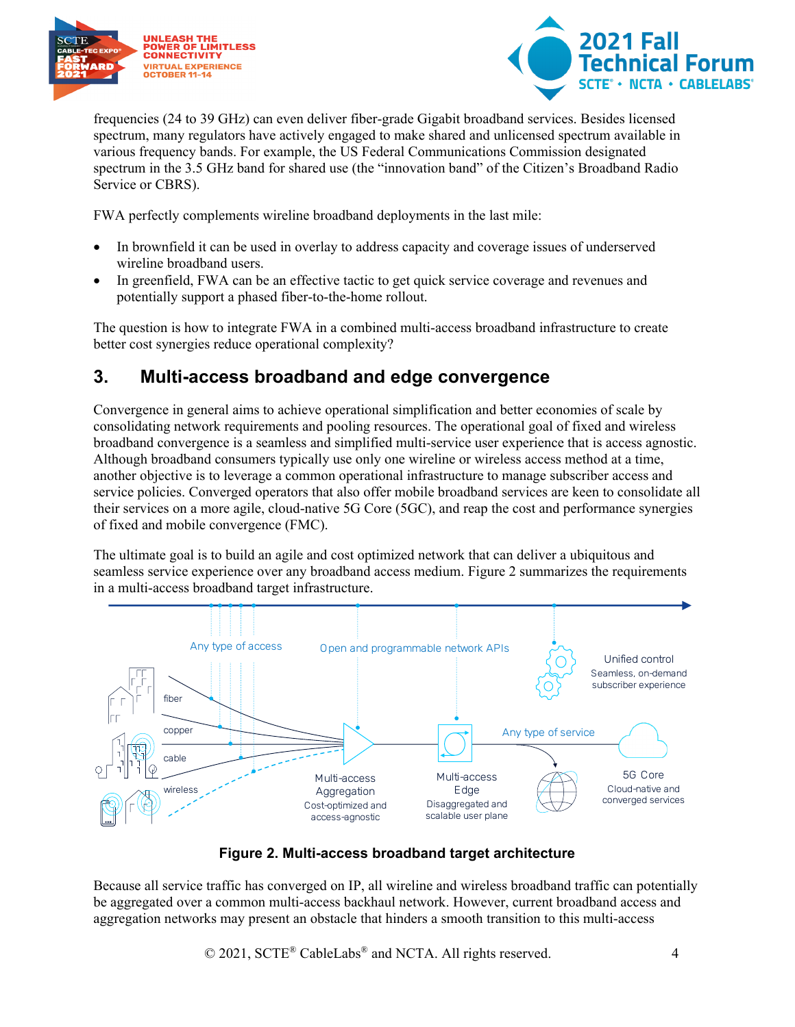



frequencies (24 to 39 GHz) can even deliver fiber-grade Gigabit broadband services. Besides licensed spectrum, many regulators have actively engaged to make shared and unlicensed spectrum available in various frequency bands. For example, the US Federal Communications Commission designated spectrum in the 3.5 GHz band for shared use (the "innovation band" of the Citizen's Broadband Radio Service or CBRS).

FWA perfectly complements wireline broadband deployments in the last mile:

- In brownfield it can be used in overlay to address capacity and coverage issues of underserved wireline broadband users.
- In greenfield, FWA can be an effective tactic to get quick service coverage and revenues and potentially support a phased fiber-to-the-home rollout.

The question is how to integrate FWA in a combined multi-access broadband infrastructure to create better cost synergies reduce operational complexity?

### <span id="page-3-0"></span>**3. Multi-access broadband and edge convergence**

Convergence in general aims to achieve operational simplification and better economies of scale by consolidating network requirements and pooling resources. The operational goal of fixed and wireless broadband convergence is a seamless and simplified multi-service user experience that is access agnostic. Although broadband consumers typically use only one wireline or wireless access method at a time, another objective is to leverage a common operational infrastructure to manage subscriber access and service policies. Converged operators that also offer mobile broadband services are keen to consolidate all their services on a more agile, cloud-native 5G Core (5GC), and reap the cost and performance synergies of fixed and mobile convergence (FMC).

The ultimate goal is to build an agile and cost optimized network that can deliver a ubiquitous and seamless service experience over any broadband access medium. [Figure](#page-3-1) 2 summarizes the requirements in a multi-access broadband target infrastructure.



#### **Figure 2. Multi-access broadband target architecture**

<span id="page-3-1"></span>Because all service traffic has converged on IP, all wireline and wireless broadband traffic can potentially be aggregated over a common multi-access backhaul network. However, current broadband access and aggregation networks may present an obstacle that hinders a smooth transition to this multi-access

© 2021, SCTE<sup>®</sup> CableLabs<sup>®</sup> and NCTA. All rights reserved. 4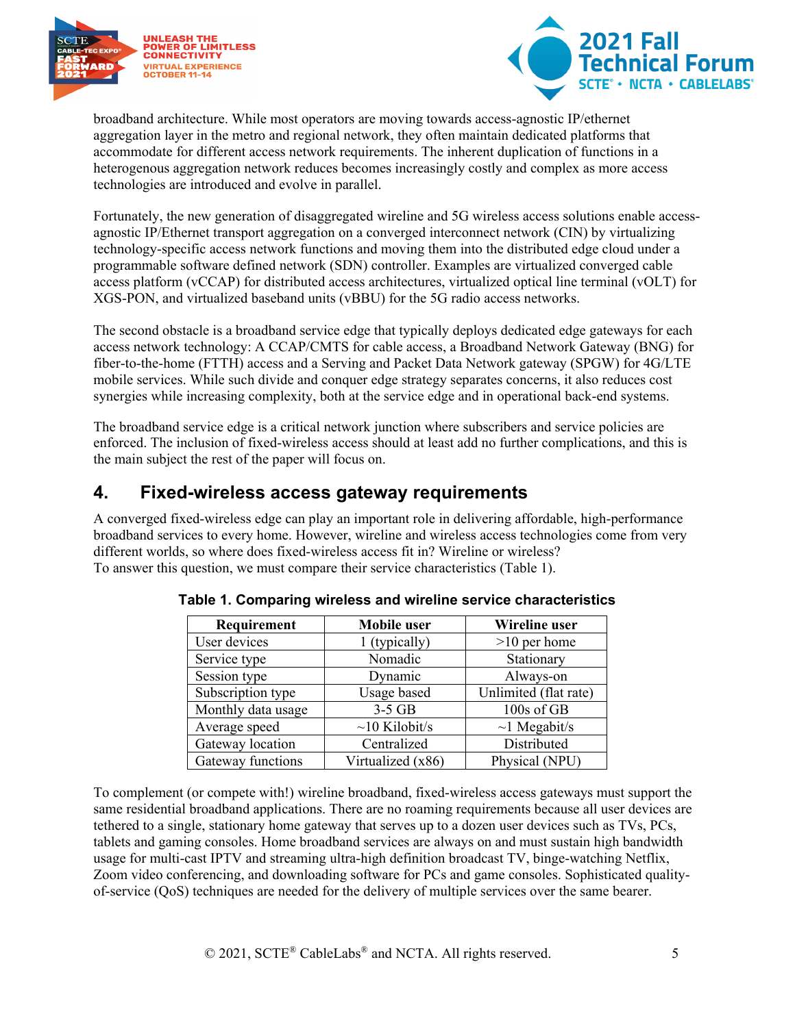



broadband architecture. While most operators are moving towards access-agnostic IP/ethernet aggregation layer in the metro and regional network, they often maintain dedicated platforms that accommodate for different access network requirements. The inherent duplication of functions in a heterogenous aggregation network reduces becomes increasingly costly and complex as more access technologies are introduced and evolve in parallel.

Fortunately, the new generation of disaggregated wireline and 5G wireless access solutions enable accessagnostic IP/Ethernet transport aggregation on a converged interconnect network (CIN) by virtualizing technology-specific access network functions and moving them into the distributed edge cloud under a programmable software defined network (SDN) controller. Examples are virtualized converged cable access platform (vCCAP) for distributed access architectures, virtualized optical line terminal (vOLT) for XGS-PON, and virtualized baseband units (vBBU) for the 5G radio access networks.

The second obstacle is a broadband service edge that typically deploys dedicated edge gateways for each access network technology: A CCAP/CMTS for cable access, a Broadband Network Gateway (BNG) for fiber-to-the-home (FTTH) access and a Serving and Packet Data Network gateway (SPGW) for 4G/LTE mobile services. While such divide and conquer edge strategy separates concerns, it also reduces cost synergies while increasing complexity, both at the service edge and in operational back-end systems.

The broadband service edge is a critical network junction where subscribers and service policies are enforced. The inclusion of fixed-wireless access should at least add no further complications, and this is the main subject the rest of the paper will focus on.

### <span id="page-4-0"></span>**4. Fixed-wireless access gateway requirements**

<span id="page-4-1"></span>A converged fixed-wireless edge can play an important role in delivering affordable, high-performance broadband services to every home. However, wireline and wireless access technologies come from very different worlds, so where does fixed-wireless access fit in? Wireline or wireless? To answer this question, we must compare their service characteristics [\(Table 1\)](#page-4-1).

| Requirement        | <b>Mobile</b> user  | Wireline user         |
|--------------------|---------------------|-----------------------|
| User devices       | 1 (typically)       | $>10$ per home        |
| Service type       | Nomadic             | Stationary            |
| Session type       | Dynamic             | Always-on             |
| Subscription type  | Usage based         | Unlimited (flat rate) |
| Monthly data usage | $3-5$ GB            | 100s of GB            |
| Average speed      | $\sim$ 10 Kilobit/s | $\sim$ 1 Megabit/s    |
| Gateway location   | Centralized         | Distributed           |
| Gateway functions  | Virtualized (x86)   | Physical (NPU)        |

To complement (or compete with!) wireline broadband, fixed-wireless access gateways must support the same residential broadband applications. There are no roaming requirements because all user devices are tethered to a single, stationary home gateway that serves up to a dozen user devices such as TVs, PCs, tablets and gaming consoles. Home broadband services are always on and must sustain high bandwidth usage for multi-cast IPTV and streaming ultra-high definition broadcast TV, binge-watching Netflix, Zoom video conferencing, and downloading software for PCs and game consoles. Sophisticated qualityof-service (QoS) techniques are needed for the delivery of multiple services over the same bearer.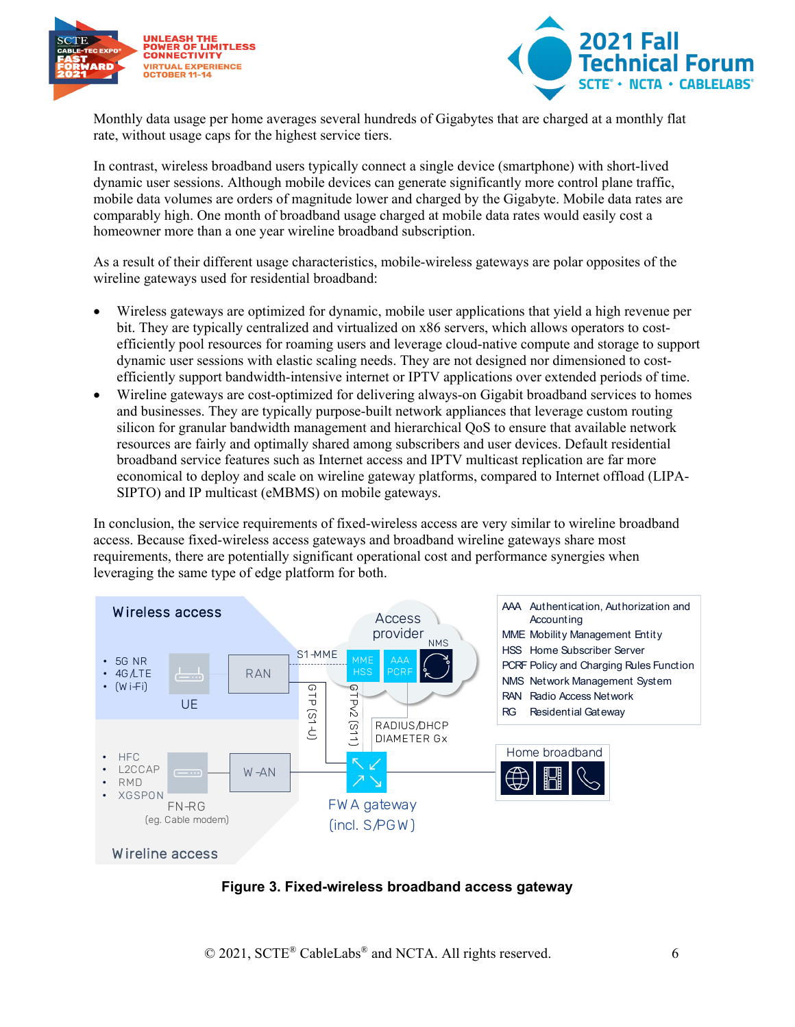



Monthly data usage per home averages several hundreds of Gigabytes that are charged at a monthly flat rate, without usage caps for the highest service tiers.

In contrast, wireless broadband users typically connect a single device (smartphone) with short-lived dynamic user sessions. Although mobile devices can generate significantly more control plane traffic, mobile data volumes are orders of magnitude lower and charged by the Gigabyte. Mobile data rates are comparably high. One month of broadband usage charged at mobile data rates would easily cost a homeowner more than a one year wireline broadband subscription.

As a result of their different usage characteristics, mobile-wireless gateways are polar opposites of the wireline gateways used for residential broadband:

- Wireless gateways are optimized for dynamic, mobile user applications that yield a high revenue per bit. They are typically centralized and virtualized on x86 servers, which allows operators to costefficiently pool resources for roaming users and leverage cloud-native compute and storage to support dynamic user sessions with elastic scaling needs. They are not designed nor dimensioned to costefficiently support bandwidth-intensive internet or IPTV applications over extended periods of time.
- Wireline gateways are cost-optimized for delivering always-on Gigabit broadband services to homes and businesses. They are typically purpose-built network appliances that leverage custom routing silicon for granular bandwidth management and hierarchical QoS to ensure that available network resources are fairly and optimally shared among subscribers and user devices. Default residential broadband service features such as Internet access and IPTV multicast replication are far more economical to deploy and scale on wireline gateway platforms, compared to Internet offload (LIPA-SIPTO) and IP multicast (eMBMS) on mobile gateways.

In conclusion, the service requirements of fixed-wireless access are very similar to wireline broadband access. Because fixed-wireless access gateways and broadband wireline gateways share most requirements, there are potentially significant operational cost and performance synergies when leveraging the same type of edge platform for both.



<span id="page-5-0"></span>**Figure 3. Fixed-wireless broadband access gateway**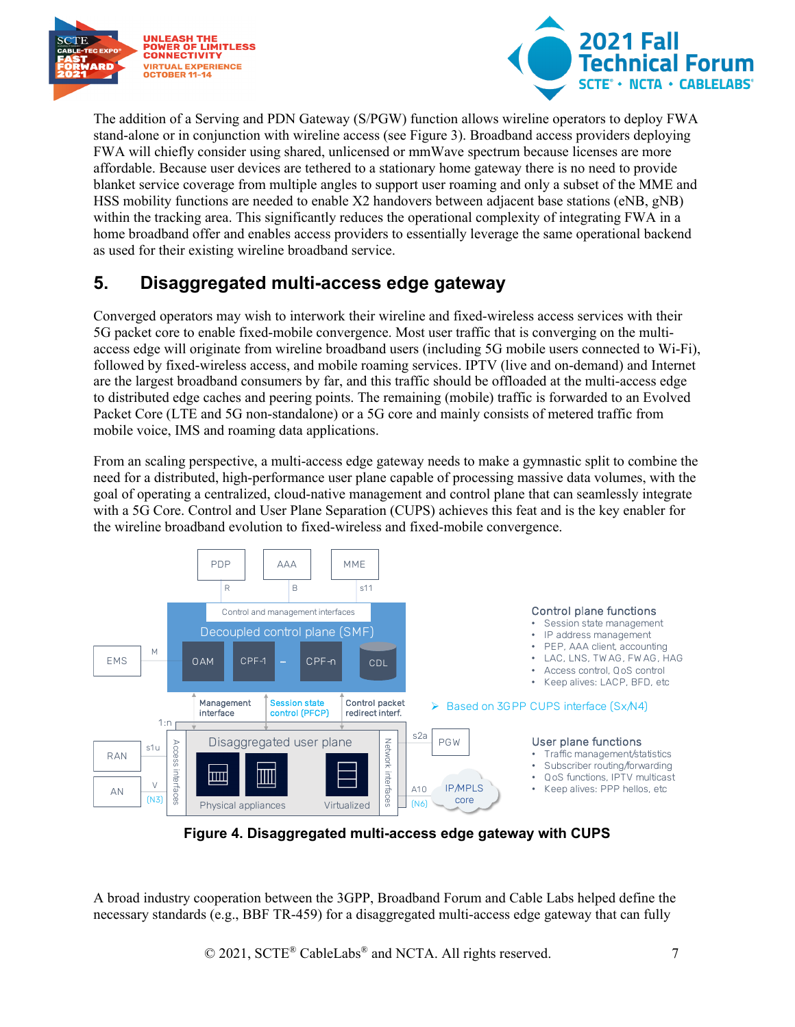



The addition of a Serving and PDN Gateway (S/PGW) function allows wireline operators to deploy FWA stand-alone or in conjunction with wireline access (see [Figure 3\)](#page-5-0). Broadband access providers deploying FWA will chiefly consider using shared, unlicensed or mmWave spectrum because licenses are more affordable. Because user devices are tethered to a stationary home gateway there is no need to provide blanket service coverage from multiple angles to support user roaming and only a subset of the MME and HSS mobility functions are needed to enable X2 handovers between adjacent base stations (eNB, gNB) within the tracking area. This significantly reduces the operational complexity of integrating FWA in a home broadband offer and enables access providers to essentially leverage the same operational backend as used for their existing wireline broadband service.

## <span id="page-6-0"></span>**5. Disaggregated multi-access edge gateway**

Converged operators may wish to interwork their wireline and fixed-wireless access services with their 5G packet core to enable fixed-mobile convergence. Most user traffic that is converging on the multiaccess edge will originate from wireline broadband users (including 5G mobile users connected to Wi-Fi), followed by fixed-wireless access, and mobile roaming services. IPTV (live and on-demand) and Internet are the largest broadband consumers by far, and this traffic should be offloaded at the multi-access edge to distributed edge caches and peering points. The remaining (mobile) traffic is forwarded to an Evolved Packet Core (LTE and 5G non-standalone) or a 5G core and mainly consists of metered traffic from mobile voice, IMS and roaming data applications.

From an scaling perspective, a multi-access edge gateway needs to make a gymnastic split to combine the need for a distributed, high-performance user plane capable of processing massive data volumes, with the goal of operating a centralized, cloud-native management and control plane that can seamlessly integrate with a 5G Core. Control and User Plane Separation (CUPS) achieves this feat and is the key enabler for the wireline broadband evolution to fixed-wireless and fixed-mobile convergence.



**Figure 4. Disaggregated multi-access edge gateway with CUPS**

<span id="page-6-1"></span>A broad industry cooperation between the 3GPP, Broadband Forum and Cable Labs helped define the necessary standards (e.g., BBF TR-459) for a disaggregated multi-access edge gateway that can fully

© 2021, SCTE<sup>®</sup> CableLabs<sup>®</sup> and NCTA. All rights reserved. 7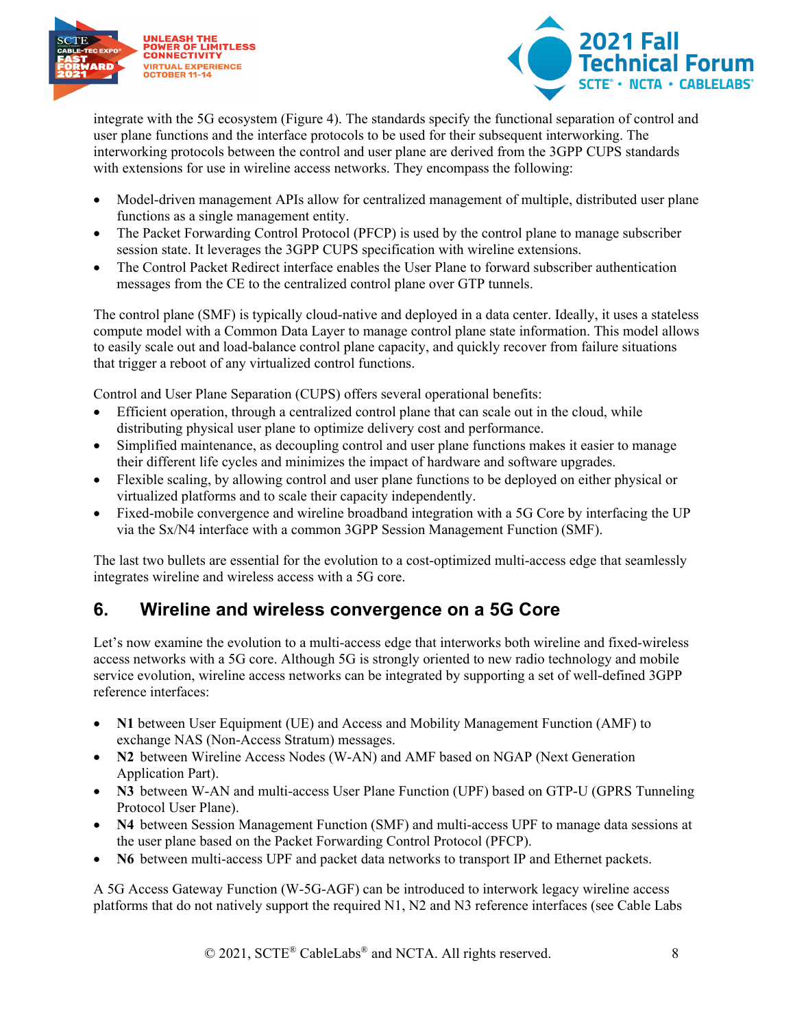



integrate with the 5G ecosystem [\(Figure 4\)](#page-6-1). The standards specify the functional separation of control and user plane functions and the interface protocols to be used for their subsequent interworking. The interworking protocols between the control and user plane are derived from the 3GPP CUPS standards with extensions for use in wireline access networks. They encompass the following:

- Model-driven management APIs allow for centralized management of multiple, distributed user plane functions as a single management entity.
- The Packet Forwarding Control Protocol (PFCP) is used by the control plane to manage subscriber session state. It leverages the 3GPP CUPS specification with wireline extensions.
- The Control Packet Redirect interface enables the User Plane to forward subscriber authentication messages from the CE to the centralized control plane over GTP tunnels.

The control plane (SMF) is typically cloud-native and deployed in a data center. Ideally, it uses a stateless compute model with a Common Data Layer to manage control plane state information. This model allows to easily scale out and load-balance control plane capacity, and quickly recover from failure situations that trigger a reboot of any virtualized control functions.

Control and User Plane Separation (CUPS) offers several operational benefits:

- Efficient operation, through a centralized control plane that can scale out in the cloud, while distributing physical user plane to optimize delivery cost and performance.
- Simplified maintenance, as decoupling control and user plane functions makes it easier to manage their different life cycles and minimizes the impact of hardware and software upgrades.
- Flexible scaling, by allowing control and user plane functions to be deployed on either physical or virtualized platforms and to scale their capacity independently.
- Fixed-mobile convergence and wireline broadband integration with a 5G Core by interfacing the UP via the Sx/N4 interface with a common 3GPP Session Management Function (SMF).

The last two bullets are essential for the evolution to a cost-optimized multi-access edge that seamlessly integrates wireline and wireless access with a 5G core.

### <span id="page-7-0"></span>**6. Wireline and wireless convergence on a 5G Core**

Let's now examine the evolution to a multi-access edge that interworks both wireline and fixed-wireless access networks with a 5G core. Although 5G is strongly oriented to new radio technology and mobile service evolution, wireline access networks can be integrated by supporting a set of well-defined 3GPP reference interfaces:

- **N1** between User Equipment (UE) and Access and Mobility Management Function (AMF) to exchange NAS (Non‐Access Stratum) messages.
- **N2** between Wireline Access Nodes (W-AN) and AMF based on NGAP (Next Generation Application Part).
- **N3** between W-AN and multi-access User Plane Function (UPF) based on GTP-U (GPRS Tunneling Protocol User Plane).
- **N4** between Session Management Function (SMF) and multi-access UPF to manage data sessions at the user plane based on the Packet Forwarding Control Protocol (PFCP).
- **N6** between multi-access UPF and packet data networks to transport IP and Ethernet packets.

A 5G Access Gateway Function (W-5G-AGF) can be introduced to interwork legacy wireline access platforms that do not natively support the required N1, N2 and N3 reference interfaces (see Cable Labs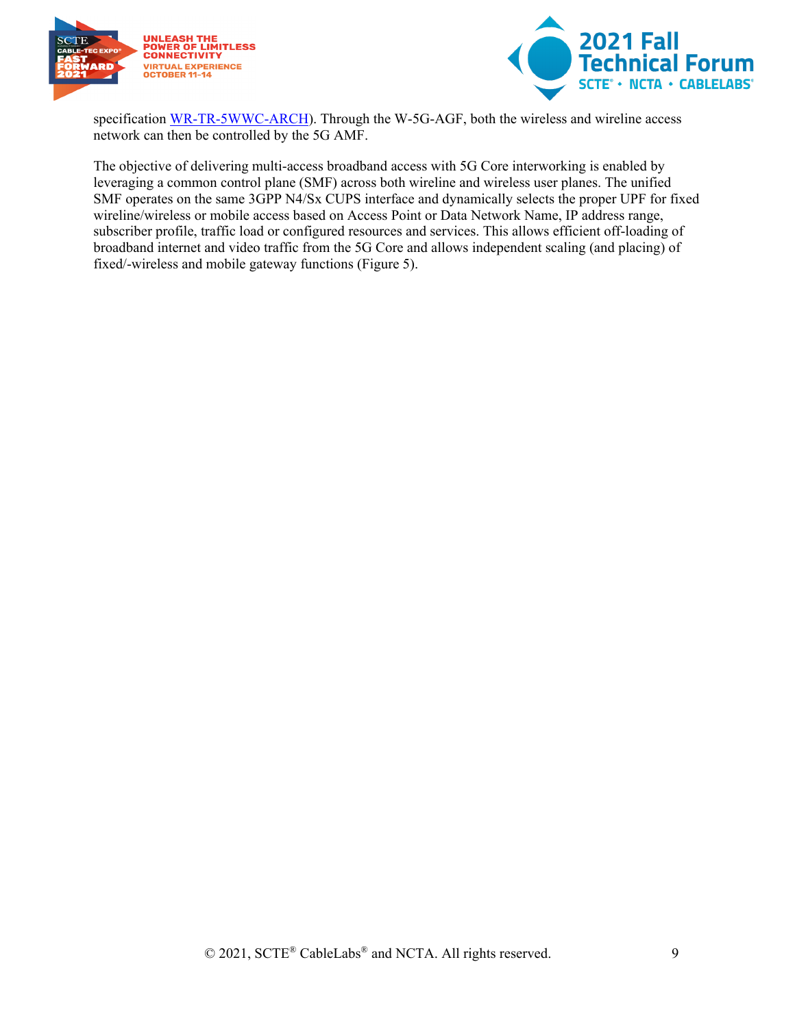



specification [WR-TR-5WWC-ARCH\)](https://community.cablelabs.com/wiki/plugins/servlet/cablelabs/alfresco/download?id=ccc4fa71-fbe1-44ec-95dd-24ee7ee2f7e9). Through the W-5G-AGF, both the wireless and wireline access network can then be controlled by the 5G AMF.

The objective of delivering multi-access broadband access with 5G Core interworking is enabled by leveraging a common control plane (SMF) across both wireline and wireless user planes. The unified SMF operates on the same 3GPP N4/Sx CUPS interface and dynamically selects the proper UPF for fixed wireline/wireless or mobile access based on Access Point or Data Network Name, IP address range, subscriber profile, traffic load or configured resources and services. This allows efficient off-loading of broadband internet and video traffic from the 5G Core and allows independent scaling (and placing) of fixed/-wireless and mobile gateway functions [\(Figure 5\)](#page-9-0).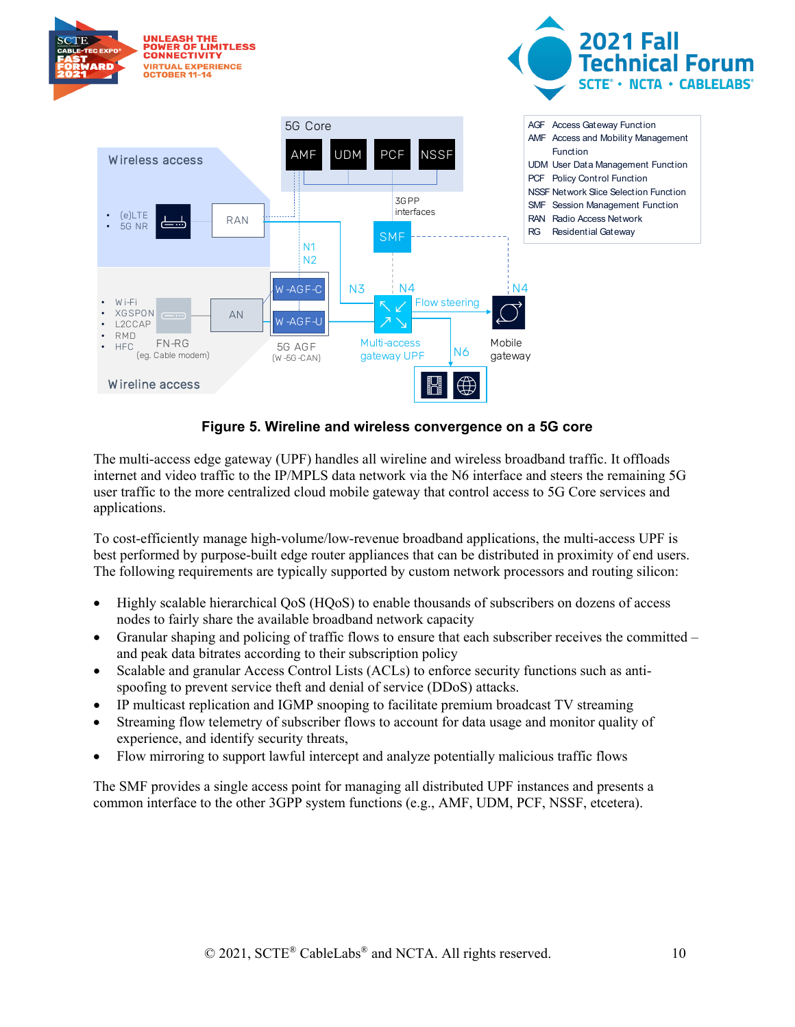

#### **Figure 5. Wireline and wireless convergence on a 5G core**

<span id="page-9-0"></span>The multi-access edge gateway (UPF) handles all wireline and wireless broadband traffic. It offloads internet and video traffic to the IP/MPLS data network via the N6 interface and steers the remaining 5G user traffic to the more centralized cloud mobile gateway that control access to 5G Core services and applications.

To cost-efficiently manage high-volume/low-revenue broadband applications, the multi-access UPF is best performed by purpose-built edge router appliances that can be distributed in proximity of end users. The following requirements are typically supported by custom network processors and routing silicon:

- Highly scalable hierarchical QoS (HQoS) to enable thousands of subscribers on dozens of access nodes to fairly share the available broadband network capacity
- Granular shaping and policing of traffic flows to ensure that each subscriber receives the committed and peak data bitrates according to their subscription policy
- Scalable and granular Access Control Lists (ACLs) to enforce security functions such as antispoofing to prevent service theft and denial of service (DDoS) attacks.
- IP multicast replication and IGMP snooping to facilitate premium broadcast TV streaming
- Streaming flow telemetry of subscriber flows to account for data usage and monitor quality of experience, and identify security threats,
- Flow mirroring to support lawful intercept and analyze potentially malicious traffic flows

The SMF provides a single access point for managing all distributed UPF instances and presents a common interface to the other 3GPP system functions (e.g., AMF, UDM, PCF, NSSF, etcetera).